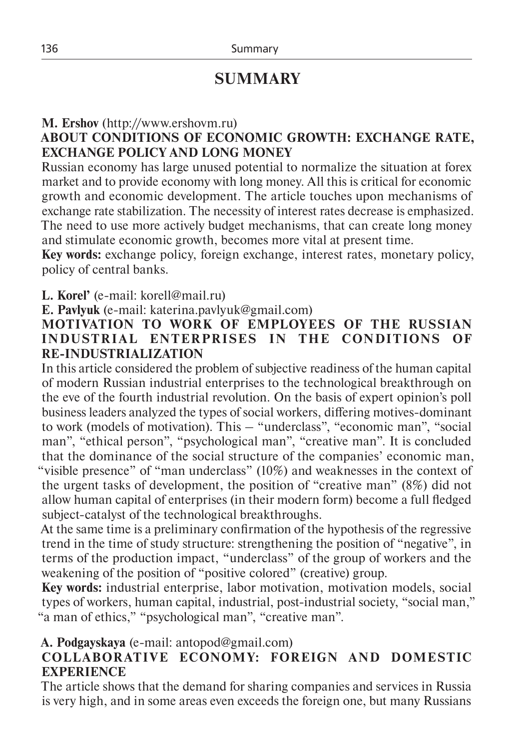# **SUMMARY**

## **M. Ershov** (http://www.ershovm.ru)

## **ABOUT CONDITIONS OF ECONOMIC GROWTH: EXCHANGE RATE, EXCHANGE POLICY AND LONG MONEY**

Russian economy has large unused potential to normalize the situation at forex market and to provide economy with long money. All this is critical for economic growth and economic development. The article touches upon mechanisms of exchange rate stabilization. The necessity of interest rates decrease is emphasized. The need to use more actively budget mechanisms, that can create long money and stimulate economic growth, becomes more vital at present time.

**Key words:** exchange policy, foreign exchange, interest rates, monetary policy, policy of central banks.

**L. Korel'** (e-mail: korell@mail.ru)

**E. Pavlyuk** (e-mail: katerina.pavlyuk@gmail.com)

#### **MOTIVATION TO WORK OF EMPLOYEES OF THE RUSSIAN INDUSTRIAL ENTERPRISES IN THE CONDITIONS OF RE-INDUSTRIALIZATION**

In this article considered the problem of subjective readiness of the human capital of modern Russian industrial enterprises to the technological breakthrough on the eve of the fourth industrial revolution. On the basis of expert opinion's poll business leaders analyzed the types of social workers, differing motives-dominant to work (models of motivation). This – "underclass", "economic man", "social man", "ethical person", "psychological man", "creative man". It is concluded that the dominance of the social structure of the companies' economic man, "visible presence" of "man underclass" (10%) and weaknesses in the context of the urgent tasks of development, the position of "creative man" (8%) did not allow human capital of enterprises (in their modern form) become a full fledged subject-catalyst of the technological breakthroughs.

At the same time is a preliminary confirmation of the hypothesis of the regressive trend in the time of study structure: strengthening the position of "negative", in terms of the production impact, "underclass" of the group of workers and the weakening of the position of "positive colored" (creative) group.

**Key words:** industrial enterprise, labor motivation, motivation models, social types of workers, human capital, industrial, post-industrial society, "social man," "a man of ethics," "psychological man", "creative man".

## **A. Podgayskaya** (e-mail: antopod@gmail.com)

## **COLL A BOR ATI V E ECONOM Y: FOR EIGN A ND DOMESTIC EXPERIENCE**

The article shows that the demand for sharing companies and services in Russia is very high, and in some areas even exceeds the foreign one, but many Russians